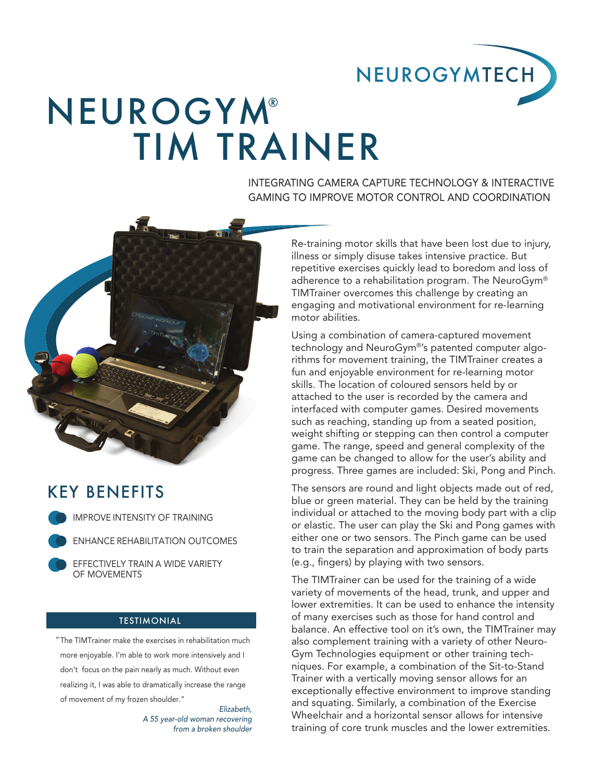

# TIM TRAINER **NEUROGYM®**

INTEGRATING CAMERA CAPTURE TECHNOLOGY & INTERACTIVE GAMING TO IMPROVE MOTOR CONTROL AND COORDINATION



## KEY BENEFITS

IMPROVE INTENSITY OF TRAINING

ENHANCE REHABILITATION OUTCOMES

EFFECTIVELY TRAIN A WIDE VARIETY OF MOVEMENTS

### **TESTIMONIAL**

The TIMTrainer make the exercises in rehabilitation much "more enjoyable. I'm able to work more intensively and I don't focus on the pain nearly as much. Without even realizing it, I was able to dramatically increase the range of movement of my frozen shoulder."

*Elizabeth, A 55 year-old woman recovering from a broken shoulder*

Re-training motor skills that have been lost due to injury, illness or simply disuse takes intensive practice. But repetitive exercises quickly lead to boredom and loss of adherence to a rehabilitation program. The NeuroGym® TIMTrainer overcomes this challenge by creating an engaging and motivational environment for re-learning motor abilities.

Using a combination of camera-captured movement technology and NeuroGym®'s patented computer algorithms for movement training, the TIMTrainer creates a fun and enjoyable environment for re-learning motor skills. The location of coloured sensors held by or attached to the user is recorded by the camera and interfaced with computer games. Desired movements such as reaching, standing up from a seated position, weight shifting or stepping can then control a computer game. The range, speed and general complexity of the game can be changed to allow for the user's ability and progress. Three games are included: Ski, Pong and Pinch.

The sensors are round and light objects made out of red, blue or green material. They can be held by the training individual or attached to the moving body part with a clip or elastic. The user can play the Ski and Pong games with either one or two sensors. The Pinch game can be used to train the separation and approximation of body parts (e.g., fingers) by playing with two sensors.

The TIMTrainer can be used for the training of a wide variety of movements of the head, trunk, and upper and lower extremities. It can be used to enhance the intensity of many exercises such as those for hand control and balance. An effective tool on it's own, the TIMTrainer may also complement training with a variety of other Neuro-Gym Technologies equipment or other training techniques. For example, a combination of the Sit-to-Stand Trainer with a vertically moving sensor allows for an exceptionally effective environment to improve standing and squating. Similarly, a combination of the Exercise Wheelchair and a horizontal sensor allows for intensive training of core trunk muscles and the lower extremities.